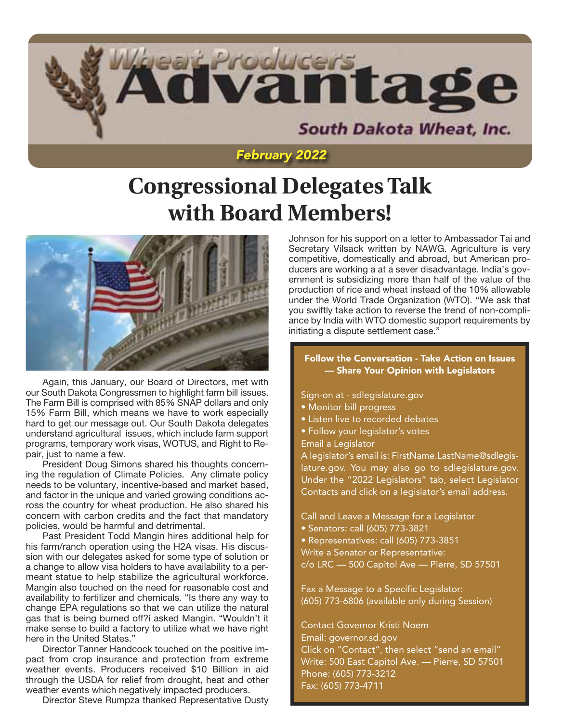

# *February 2022*

# **Congressional Delegates Talk with Board Members!**



Again, this January, our Board of Directors, met with our South Dakota Congressmen to highlight farm bill issues. The Farm Bill is comprised with 85% SNAP dollars and only 15% Farm Bill, which means we have to work especially hard to get our message out. Our South Dakota delegates understand agricultural issues, which include farm support programs, temporary work visas, WOTUS, and Right to Repair, just to name a few.

President Doug Simons shared his thoughts concerning the regulation of Climate Policies. Any climate policy needs to be voluntary, incentive-based and market based, and factor in the unique and varied growing conditions across the country for wheat production. He also shared his concern with carbon credits and the fact that mandatory policies, would be harmful and detrimental.

Past President Todd Mangin hires additional help for his farm/ranch operation using the H2A visas. His discussion with our delegates asked for some type of solution or a change to allow visa holders to have availability to a permeant statue to help stabilize the agricultural workforce. Mangin also touched on the need for reasonable cost and availability to fertilizer and chemicals. "Is there any way to change EPA regulations so that we can utilize the natural gas that is being burned off?í asked Mangin. "Wouldn't it make sense to build a factory to utilize what we have right here in the United States."

Director Tanner Handcock touched on the positive impact from crop insurance and protection from extreme weather events. Producers received \$10 Billion in aid through the USDA for relief from drought, heat and other weather events which negatively impacted producers.

Director Steve Rumpza thanked Representative Dusty

Johnson for his support on a letter to Ambassador Tai and Secretary Vilsack written by NAWG. Agriculture is very competitive, domestically and abroad, but American producers are working a at a sever disadvantage. India's government is subsidizing more than half of the value of the production of rice and wheat instead of the 10% allowable under the World Trade Organization (WTO). "We ask that you swiftly take action to reverse the trend of non-compliance by India with WTO domestic support requirements by initiating a dispute settlement case."

#### Follow the Conversation - Take Action on Issues — Share Your Opinion with Legislators

Sign-on at - sdlegislature.gov

- Monitor bill progress
- Listen live to recorded debates
- Follow your legislator's votes

Email a Legislator

A legislator's email is: FirstName.LastName@sdlegislature.gov. You may also go to sdlegislature.gov. Under the "2022 Legislators" tab, select Legislator Contacts and click on a legislator's email address.

Call and Leave a Message for a Legislator

- Senators: call (605) 773-3821
- Representatives: call (605) 773-3851

Write a Senator or Representative:

c/o LRC — 500 Capitol Ave — Pierre, SD 57501

Fax a Message to a Specific Legislator: (605) 773-6806 (available only during Session)

Contact Governor Kristi Noem Email: governor.sd.gov Click on "Contact", then select "send an email" Write: 500 East Capitol Ave. — Pierre, SD 57501 Phone: (605) 773-3212 Fax: (605) 773-4711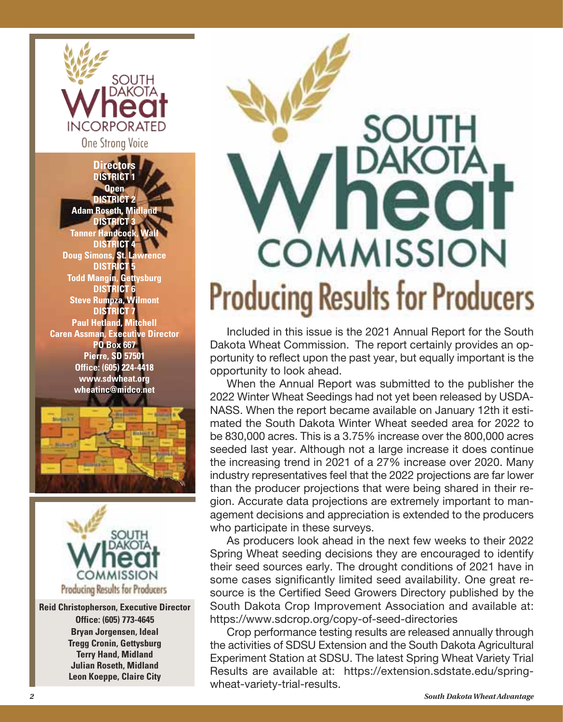

**Directors DISTRICT 1 Open DISTRICT 2 Adam Roseth, Midland DISTRICT 3 Tanner Handcock, Wall DISTRICT 4 Doug Simons, St. Lawrence DISTRICT 5 Todd Mangin, Gettysburg DISTRICT 6 Steve Rumpza, Wilmont DISTRICT 7 Paul Hetland, Mitchell Caren Assman, Executive Director PO Box 667 Pierre, SD 57501 Office: (605) 224-4418 www.sdwheat.org wheatinc@midco.net**





**Reid Christopherson, Executive Director Office: (605) 773-4645 Bryan Jorgensen, Ideal Tregg Cronin, Gettysburg Terry Hand, Midland Julian Roseth, Midland Leon Koeppe, Claire City**



Included in this issue is the 2021 Annual Report for the South Dakota Wheat Commission. The report certainly provides an opportunity to reflect upon the past year, but equally important is the opportunity to look ahead.

When the Annual Report was submitted to the publisher the 2022 Winter Wheat Seedings had not yet been released by USDA-NASS. When the report became available on January 12th it estimated the South Dakota Winter Wheat seeded area for 2022 to be 830,000 acres. This is a 3.75% increase over the 800,000 acres seeded last year. Although not a large increase it does continue the increasing trend in 2021 of a 27% increase over 2020. Many industry representatives feel that the 2022 projections are far lower than the producer projections that were being shared in their region. Accurate data projections are extremely important to management decisions and appreciation is extended to the producers who participate in these surveys.

As producers look ahead in the next few weeks to their 2022 Spring Wheat seeding decisions they are encouraged to identify their seed sources early. The drought conditions of 2021 have in some cases significantly limited seed availability. One great resource is the Certified Seed Growers Directory published by the South Dakota Crop Improvement Association and available at: https://www.sdcrop.org/copy-of-seed-directories

Crop performance testing results are released annually through the activities of SDSU Extension and the South Dakota Agricultural Experiment Station at SDSU. The latest Spring Wheat Variety Trial Results are available at: https://extension.sdstate.edu/springwheat-variety-trial-results.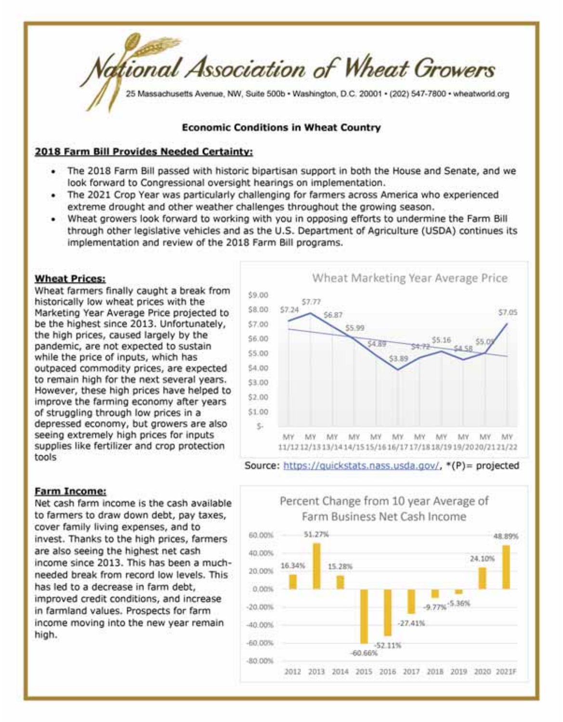

#### **Economic Conditions in Wheat Country**

#### 2018 Farm Bill Provides Needed Certainty:

- . The 2018 Farm Bill passed with historic bipartisan support in both the House and Senate, and we look forward to Congressional oversight hearings on implementation.
- . The 2021 Crop Year was particularly challenging for farmers across America who experienced extreme drought and other weather challenges throughout the growing season.
- . Wheat growers look forward to working with you in opposing efforts to undermine the Farm Bill through other legislative vehicles and as the U.S. Department of Agriculture (USDA) continues its implementation and review of the 2018 Farm Bill programs.

#### **Wheat Prices:**

Wheat farmers finally caught a break from historically low wheat prices with the Marketing Year Average Price projected to be the highest since 2013. Unfortunately, the high prices, caused largely by the pandemic, are not expected to sustain while the price of inputs, which has outpaced commodity prices, are expected to remain high for the next several years. However, these high prices have helped to improve the farming economy after years of struggling through low prices in a depressed economy, but growers are also seeing extremely high prices for inputs supplies like fertilizer and crop protection tools



#### **Farm Income:**

Net cash farm income is the cash available to farmers to draw down debt, pay taxes, cover family living expenses, and to invest. Thanks to the high prices, farmers are also seeing the highest net cash income since 2013. This has been a muchneeded break from record low levels. This has led to a decrease in farm debt, improved credit conditions, and increase in farmland values. Prospects for farm income moving into the new year remain high.

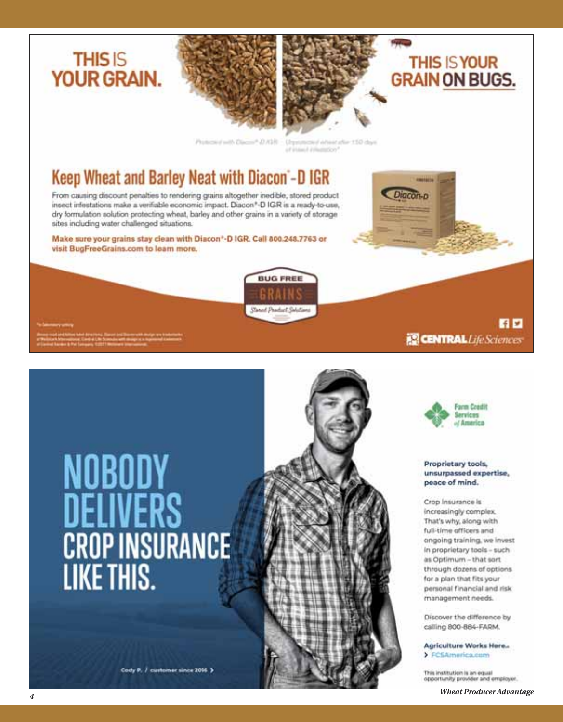





**GRAIN ON BUGS.** 

**THIS IS YOUR** 

Protected with Discover D.ASR.

**BUG FREE** 

Shoul Product Solition

Urpromoted inhield after 150 days of intend inhumation<sup>4</sup>

# Keep Wheat and Barley Neat with Diacon -D IGR

From causing discount penalties to rendering grains altogether inedible, stored product insect infestations make a verifiable economic impact. Diacon\*-D IGR is a ready-to-use, dry formulation solution protecting wheat, barley and other grains in a variety of storage sites including water challenged situations.

Make sure your grains stay clean with Diacon\*-D IGR. Call 800.248.7763 or visit BugFreeGrains.com to learn more.



Cody P. / customer since 2016 >





**ER CENTRAL** Life Sciences

百四

#### Proprietary tools, unsurpassed expertise, peace of mind.

Crop Insurance is increasingly complex. That's why, along with full-time officers and ongoing training, we invest in proprietary tools - such as Optimum - that sort through dozens of options for a plan that fits your personal financial and risk management needs.

Discover the difference by calling 800-884-FARM.

Agriculture Works Here... > FCSAmerica.com

This institution is an equal<br>opportunity provider and employer.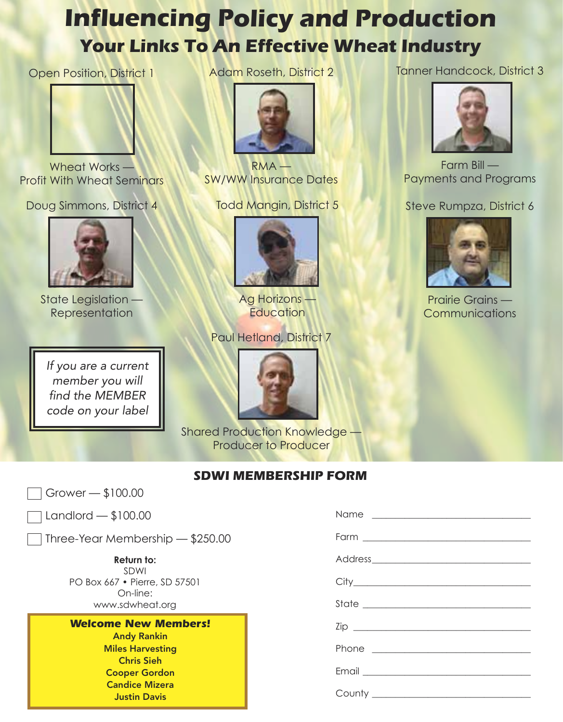# **Influencing Policy and Production Your Links To An Effective Wheat Industry**

Open Position, District 1



Wheat Works — Profit With Wheat Seminars

Doug Simmons, District 4



State Legislation **Representation** 

*If you are a current member you will find the MEMBER code on your label* Adam Roseth, District 2



**RMA** SW/WW Insurance Dates

Todd Mangin, District 5



Ag Horizons — **Education** 

Paul Hetland, District 7



Shared Production Knowledge — Producer to Producer

# **SDWI MEMBERSHIP FORM**

Grower — \$100.00

Landlord — \$100.00

Three-Year Membership — \$250.00

**Return to:** SDWI PO Box 667 • Pierre, SD 57501 On-line: www.sdwheat.org

# *Welcome New Members!*

Andy Rankin Miles Harvesting Chris Sieh Cooper Gordon Candice Mizera Justin Davis

Tanner Handcock, District 3



Farm Bill — Payments and Programs

# Steve Rumpza, District 6



Prairie Grains **Communications**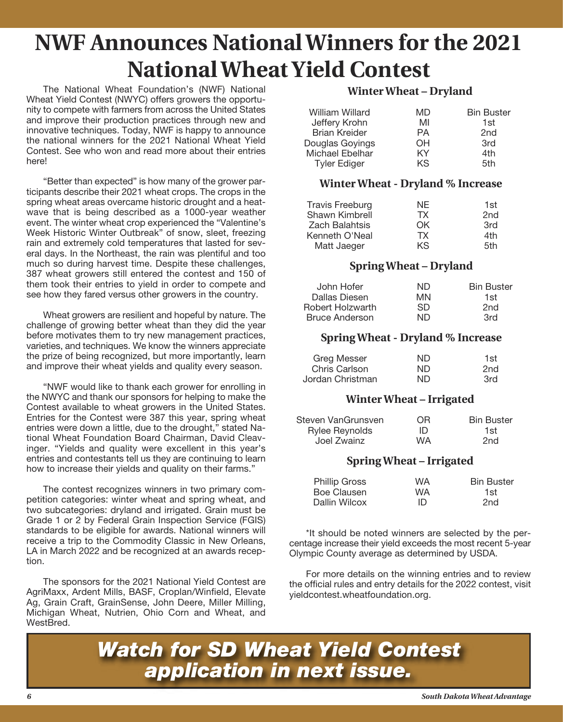# **NWF Announces National Winners for the 2021 National Wheat Yield Contest**

The National Wheat Foundation's (NWF) National Wheat Yield Contest (NWYC) offers growers the opportunity to compete with farmers from across the United States and improve their production practices through new and innovative techniques. Today, NWF is happy to announce the national winners for the 2021 National Wheat Yield Contest. See who won and read more about their entries here!

"Better than expected" is how many of the grower participants describe their 2021 wheat crops. The crops in the spring wheat areas overcame historic drought and a heatwave that is being described as a 1000-year weather event. The winter wheat crop experienced the "Valentine's Week Historic Winter Outbreak" of snow, sleet, freezing rain and extremely cold temperatures that lasted for several days. In the Northeast, the rain was plentiful and too much so during harvest time. Despite these challenges, 387 wheat growers still entered the contest and 150 of them took their entries to yield in order to compete and see how they fared versus other growers in the country.

Wheat growers are resilient and hopeful by nature. The challenge of growing better wheat than they did the year before motivates them to try new management practices, varieties, and techniques. We know the winners appreciate the prize of being recognized, but more importantly, learn and improve their wheat yields and quality every season.

"NWF would like to thank each grower for enrolling in the NWYC and thank our sponsors for helping to make the Contest available to wheat growers in the United States. Entries for the Contest were 387 this year, spring wheat entries were down a little, due to the drought," stated National Wheat Foundation Board Chairman, David Cleavinger. "Yields and quality were excellent in this year's entries and contestants tell us they are continuing to learn how to increase their yields and quality on their farms."

The contest recognizes winners in two primary competition categories: winter wheat and spring wheat, and two subcategories: dryland and irrigated. Grain must be Grade 1 or 2 by Federal Grain Inspection Service (FGIS) standards to be eligible for awards. National winners will receive a trip to the Commodity Classic in New Orleans, LA in March 2022 and be recognized at an awards reception.

The sponsors for the 2021 National Yield Contest are AgriMaxx, Ardent Mills, BASF, Croplan/Winfield, Elevate Ag, Grain Craft, GrainSense, John Deere, Miller Milling, Michigan Wheat, Nutrien, Ohio Corn and Wheat, and WestBred.

## **Winter Wheat – Dryland**

| William Willard      | MD | <b>Bin Buster</b> |
|----------------------|----|-------------------|
| Jeffery Krohn        | MI | 1st               |
| <b>Brian Kreider</b> | PА | 2 <sub>nd</sub>   |
| Douglas Goyings      | OН | 3rd               |
| Michael Ebelhar      | ΚY | 4th               |
| <b>Tyler Ediger</b>  | ΚS | 5th               |

## **Winter Wheat - Dryland % Increase**

| <b>Travis Freeburg</b><br>Shawn Kimbrell<br><b>Zach Balahtsis</b> | NF.<br>ТX<br>OΚ | 1st<br>2 <sub>nd</sub><br>3rd |
|-------------------------------------------------------------------|-----------------|-------------------------------|
| Kenneth O'Neal                                                    | TX.             | 4th                           |
| Matt Jaeger                                                       | KS.             | .5th                          |

# **Spring Wheat – Dryland**

| ND. | <b>Bin Buster</b> |
|-----|-------------------|
| MN  | 1st               |
| .SD | 2nd               |
| ND  | 3rd               |
|     |                   |

#### **Spring Wheat - Dryland % Increase**

| Greg Messer      | ND. | 1st |
|------------------|-----|-----|
| Chris Carlson    | ND. | 2nd |
| Jordan Christman | ND  | 3rd |

## **Winter Wheat – Irrigated**

| Steven VanGrunsven    | OR.       | <b>Bin Buster</b> |
|-----------------------|-----------|-------------------|
| <b>Rylee Reynolds</b> | ID        | 1st.              |
| Joel Zwainz           | <b>WA</b> | 2nd               |

## **Spring Wheat – Irrigated**

| <b>Phillip Gross</b> | <b>WA</b> | <b>Bin Buster</b> |
|----------------------|-----------|-------------------|
| Boe Clausen          | WA.       | 1st               |
| Dallin Wilcox        | ID        | 2nd               |

\*It should be noted winners are selected by the percentage increase their yield exceeds the most recent 5-year Olympic County average as determined by USDA.

For more details on the winning entries and to review the official rules and entry details for the 2022 contest, visit yieldcontest.wheatfoundation.org.

*Watch for SD Wheat Yield Contest application in next issue.*

*6 South Dakota Wheat Advantage*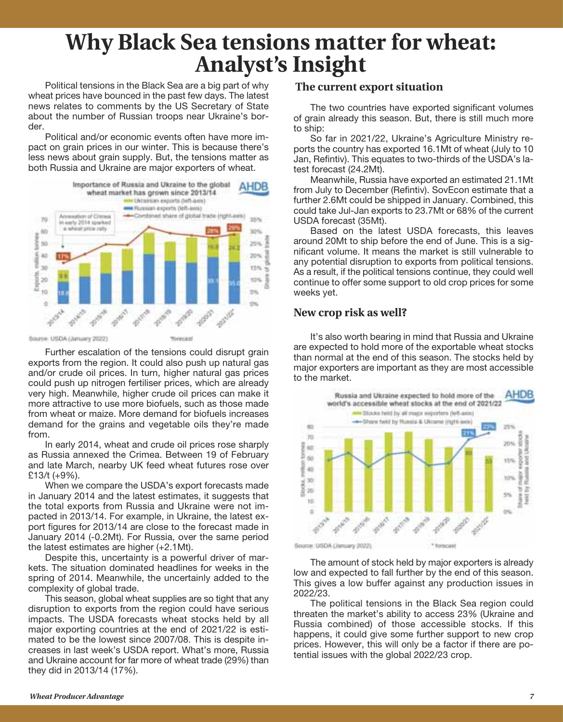# **Why Black Sea tensions matter for wheat: Analyst's Insight**

Political tensions in the Black Sea are a big part of why wheat prices have bounced in the past few days. The latest news relates to comments by the US Secretary of State about the number of Russian troops near Ukraine's border.

Political and/or economic events often have more impact on grain prices in our winter. This is because there's less news about grain supply. But, the tensions matter as both Russia and Ukraine are major exporters of wheat.



Further escalation of the tensions could disrupt grain exports from the region. It could also push up natural gas and/or crude oil prices. In turn, higher natural gas prices could push up nitrogen fertiliser prices, which are already very high. Meanwhile, higher crude oil prices can make it more attractive to use more biofuels, such as those made from wheat or maize. More demand for biofuels increases demand for the grains and vegetable oils they're made from.

In early 2014, wheat and crude oil prices rose sharply as Russia annexed the Crimea. Between 19 of February and late March, nearby UK feed wheat futures rose over £13/t (+9%).

When we compare the USDA's export forecasts made in January 2014 and the latest estimates, it suggests that the total exports from Russia and Ukraine were not impacted in 2013/14. For example, in Ukraine, the latest export figures for 2013/14 are close to the forecast made in January 2014 (-0.2Mt). For Russia, over the same period the latest estimates are higher (+2.1Mt).

Despite this, uncertainty is a powerful driver of markets. The situation dominated headlines for weeks in the spring of 2014. Meanwhile, the uncertainly added to the complexity of global trade.

This season, global wheat supplies are so tight that any disruption to exports from the region could have serious impacts. The USDA forecasts wheat stocks held by all major exporting countries at the end of 2021/22 is estimated to be the lowest since 2007/08. This is despite increases in last week's USDA report. What's more, Russia and Ukraine account for far more of wheat trade (29%) than they did in 2013/14 (17%).

#### **The current export situation**

The two countries have exported significant volumes of grain already this season. But, there is still much more to ship:

So far in 2021/22, Ukraine's Agriculture Ministry reports the country has exported 16.1Mt of wheat (July to 10 Jan, Refintiv). This equates to two-thirds of the USDA's latest forecast (24.2Mt).

Meanwhile, Russia have exported an estimated 21.1Mt from July to December (Refintiv). SovEcon estimate that a further 2.6Mt could be shipped in January. Combined, this could take Jul-Jan exports to 23.7Mt or 68% of the current USDA forecast (35Mt).

Based on the latest USDA forecasts, this leaves around 20Mt to ship before the end of June. This is a significant volume. It means the market is still vulnerable to any potential disruption to exports from political tensions. As a result, if the political tensions continue, they could well continue to offer some support to old crop prices for some weeks yet.

#### **New crop risk as well?**

It's also worth bearing in mind that Russia and Ukraine are expected to hold more of the exportable wheat stocks than normal at the end of this season. The stocks held by major exporters are important as they are most accessible to the market.



The amount of stock held by major exporters is already low and expected to fall further by the end of this season. This gives a low buffer against any production issues in 2022/23.

The political tensions in the Black Sea region could threaten the market's ability to access 23% (Ukraine and Russia combined) of those accessible stocks. If this happens, it could give some further support to new crop prices. However, this will only be a factor if there are potential issues with the global 2022/23 crop.